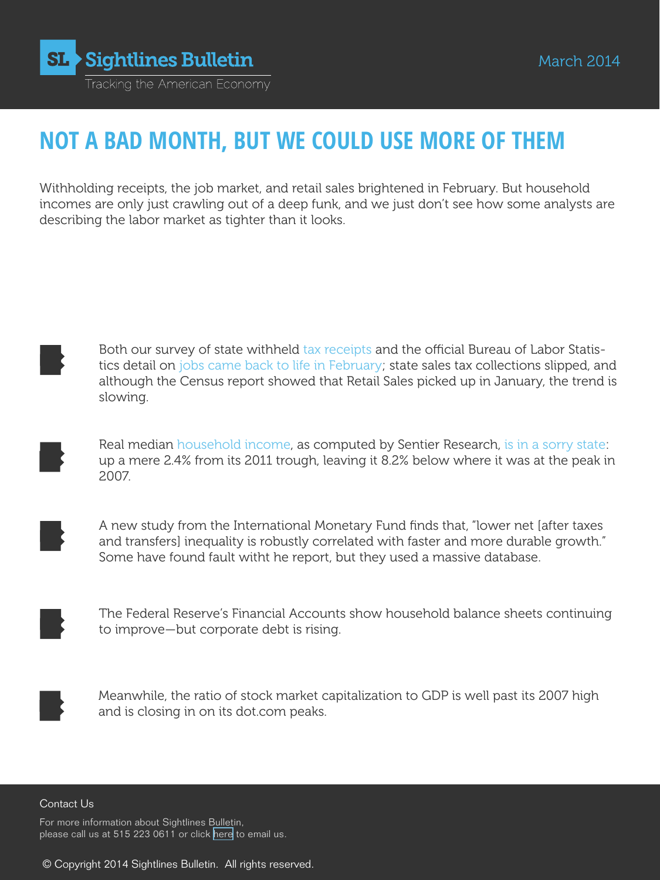

# **NOT A BAD MONTH, BUT WE COULD USE MORE OF THEM**

Withholding receipts, the job market, and retail sales brightened in February. But household incomes are only just crawling out of a deep funk, and we just don't see how some analysts are describing the labor market as tighter than it looks.

Both our survey of state withheld tax receipts and the official Bureau of Labor Statistics detail on jobs came back to life in February; state sales tax collections slipped, and although the Census report showed that Retail Sales picked up in January, the trend is slowing.

Real median household income, as computed by Sentier Research, is in a sorry state: up a mere 2.4% from its 2011 trough, leaving it 8.2% below where it was at the peak in 2007.

A new study from the International Monetary Fund finds that, "lower net [after taxes and transfers] inequality is robustly correlated with faster and more durable growth." Some have found fault witht he report, but they used a massive database.

The Federal Reserve's Financial Accounts show household balance sheets continuing to improve—but corporate debt is rising.



Meanwhile, the ratio of stock market capitalization to GDP is well past its 2007 high and is closing in on its dot.com peaks.

#### Contact Us

For more information about Sightlines Bulletin, please call us at 515 223 0611 or click [here](mailto:philippa%40panix.com?subject=Sightlines%20query) to email us.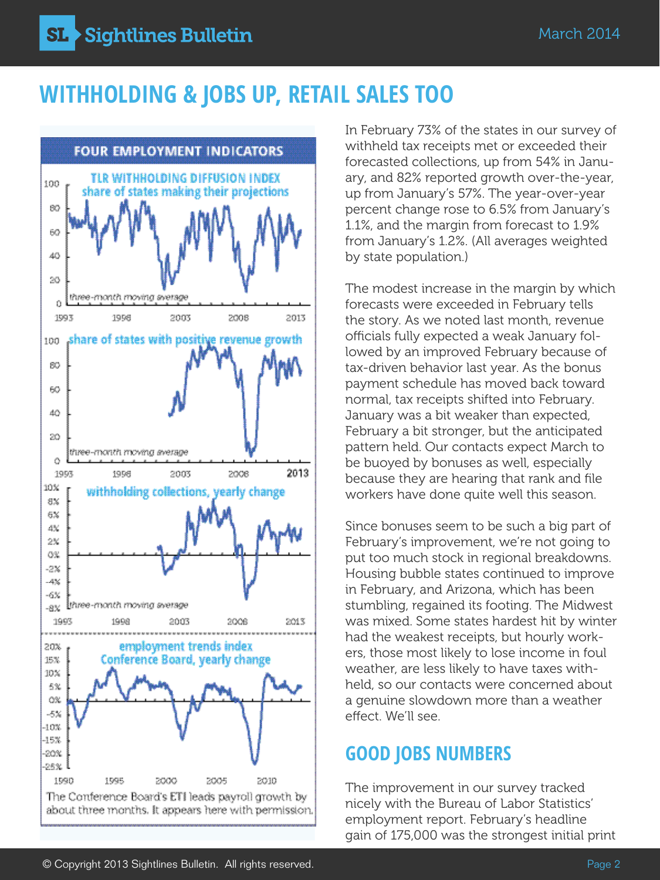# **Withholding & jobs up, retail sales too**



In February 73% of the states in our survey of withheld tax receipts met or exceeded their forecasted collections, up from 54% in January, and 82% reported growth over-the-year, up from January's 57%. The year-over-year percent change rose to 6.5% from January's 1.1%, and the margin from forecast to 1.9% from January's 1.2%. (All averages weighted by state population.)

The modest increase in the margin by which forecasts were exceeded in February tells the story. As we noted last month, revenue officials fully expected a weak January followed by an improved February because of tax-driven behavior last year. As the bonus payment schedule has moved back toward normal, tax receipts shifted into February. January was a bit weaker than expected, February a bit stronger, but the anticipated pattern held. Our contacts expect March to be buoyed by bonuses as well, especially because they are hearing that rank and file workers have done quite well this season.

Since bonuses seem to be such a big part of February's improvement, we're not going to put too much stock in regional breakdowns. Housing bubble states continued to improve in February, and Arizona, which has been stumbling, regained its footing. The Midwest was mixed. Some states hardest hit by winter had the weakest receipts, but hourly workers, those most likely to lose income in foul weather, are less likely to have taxes withheld, so our contacts were concerned about a genuine slowdown more than a weather effect. We'll see.

## **GOOD JOBS NUMBERS**

The improvement in our survey tracked nicely with the Bureau of Labor Statistics' employment report. February's headline gain of 175,000 was the strongest initial print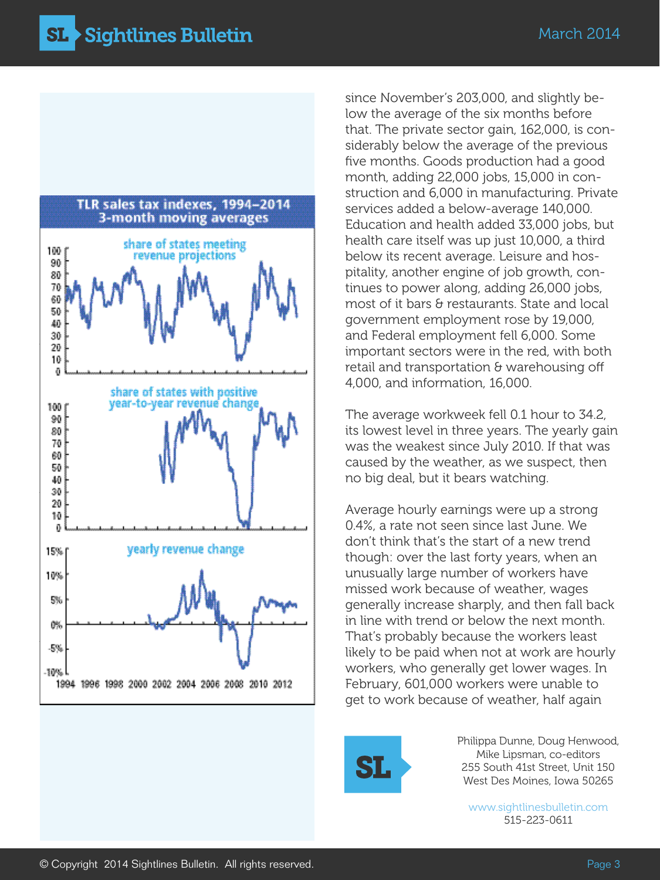

since November's 203,000, and slightly below the average of the six months before that. The private sector gain, 162,000, is considerably below the average of the previous five months. Goods production had a good month, adding 22,000 jobs, 15,000 in construction and 6,000 in manufacturing. Private services added a below-average 140,000. Education and health added 33,000 jobs, but health care itself was up just 10,000, a third below its recent average. Leisure and hospitality, another engine of job growth, continues to power along, adding 26,000 jobs, most of it bars & restaurants. State and local government employment rose by 19,000, and Federal employment fell 6,000. Some important sectors were in the red, with both retail and transportation & warehousing off 4,000, and information, 16,000.

The average workweek fell 0.1 hour to 34.2, its lowest level in three years. The yearly gain was the weakest since July 2010. If that was caused by the weather, as we suspect, then no big deal, but it bears watching.

Average hourly earnings were up a strong 0.4%, a rate not seen since last June. We don't think that's the start of a new trend though: over the last forty years, when an unusually large number of workers have missed work because of weather, wages generally increase sharply, and then fall back in line with trend or below the next month. That's probably because the workers least likely to be paid when not at work are hourly workers, who generally get lower wages. In February, 601,000 workers were unable to get to work because of weather, half again



Philippa Dunne, Doug Henwood, Mike Lipsman, co-editors 255 South 41st Street, Unit 150 West Des Moines, Iowa 50265

[www.sightlinesbulletin.com](http://sightlinesbulletin.com/) 515-223-0611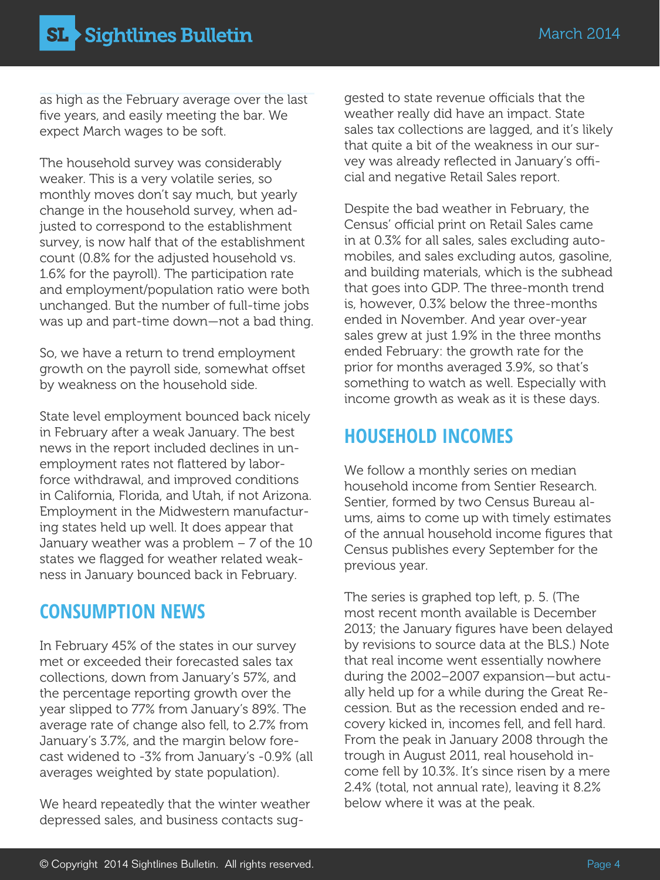as high as the February average over the last five years, and easily meeting the bar. We expect March wages to be soft.

The household survey was considerably weaker. This is a very volatile series, so monthly moves don't say much, but yearly change in the household survey, when adjusted to correspond to the establishment survey, is now half that of the establishment count (0.8% for the adjusted household vs. 1.6% for the payroll). The participation rate and employment/population ratio were both unchanged. But the number of full-time jobs was up and part-time down—not a bad thing.

So, we have a return to trend employment growth on the payroll side, somewhat offset by weakness on the household side.

State level employment bounced back nicely in February after a weak January. The best news in the report included declines in unemployment rates not flattered by laborforce withdrawal, and improved conditions in California, Florida, and Utah, if not Arizona. Employment in the Midwestern manufacturing states held up well. It does appear that January weather was a problem  $-7$  of the 10 states we flagged for weather related weakness in January bounced back in February.

## **consumption news**

In February 45% of the states in our survey met or exceeded their forecasted sales tax collections, down from January's 57%, and the percentage reporting growth over the year slipped to 77% from January's 89%. The average rate of change also fell, to 2.7% from January's 3.7%, and the margin below forecast widened to -3% from January's -0.9% (all averages weighted by state population).

We heard repeatedly that the winter weather depressed sales, and business contacts suggested to state revenue officials that the weather really did have an impact. State sales tax collections are lagged, and it's likely that quite a bit of the weakness in our survey was already reflected in January's official and negative Retail Sales report.

Despite the bad weather in February, the Census' official print on Retail Sales came in at 0.3% for all sales, sales excluding automobiles, and sales excluding autos, gasoline, and building materials, which is the subhead that goes into GDP. The three-month trend is, however, 0.3% below the three-months ended in November. And year over-year sales grew at just 1.9% in the three months ended February: the growth rate for the prior for months averaged 3.9%, so that's something to watch as well. Especially with income growth as weak as it is these days.

## **household incomes**

We follow a monthly series on median household income from Sentier Research. Sentier, formed by two Census Bureau alums, aims to come up with timely estimates of the annual household income figures that Census publishes every September for the previous year.

The series is graphed top left, p. 5. (The most recent month available is December 2013; the January figures have been delayed by revisions to source data at the BLS.) Note that real income went essentially nowhere during the 2002–2007 expansion—but actually held up for a while during the Great Recession. But as the recession ended and recovery kicked in, incomes fell, and fell hard. From the peak in January 2008 through the trough in August 2011, real household income fell by 10.3%. It's since risen by a mere 2.4% (total, not annual rate), leaving it 8.2% below where it was at the peak.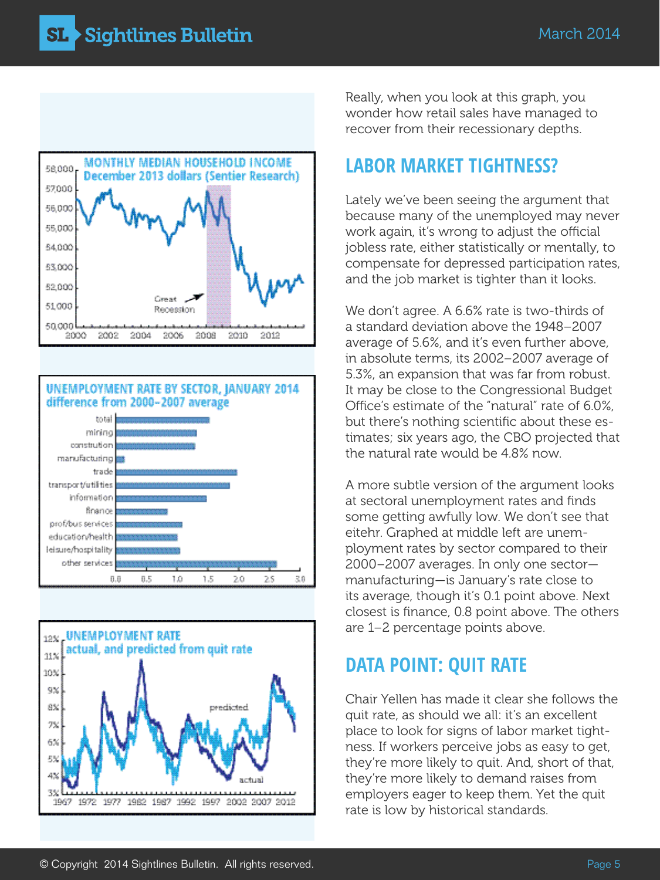





Really, when you look at this graph, you wonder how retail sales have managed to recover from their recessionary depths.

## **labor market tightness?**

Lately we've been seeing the argument that because many of the unemployed may never work again, it's wrong to adjust the official jobless rate, either statistically or mentally, to compensate for depressed participation rates, and the job market is tighter than it looks.

We don't agree. A 6.6% rate is two-thirds of a standard deviation above the 1948–2007 average of 5.6%, and it's even further above, in absolute terms, its 2002–2007 average of 5.3%, an expansion that was far from robust. It may be close to the Congressional Budget Office's estimate of the "natural" rate of 6.0%, but there's nothing scientific about these estimates; six years ago, the CBO projected that the natural rate would be 4.8% now.

A more subtle version of the argument looks at sectoral unemployment rates and finds some getting awfully low. We don't see that eitehr. Graphed at middle left are unemployment rates by sector compared to their 2000–2007 averages. In only one sector manufacturing—is January's rate close to its average, though it's 0.1 point above. Next closest is finance, 0.8 point above. The others are 1–2 percentage points above.

## **data Point: Quit Rate**

Chair Yellen has made it clear she follows the quit rate, as should we all: it's an excellent place to look for signs of labor market tightness. If workers perceive jobs as easy to get, they're more likely to quit. And, short of that, they're more likely to demand raises from employers eager to keep them. Yet the quit rate is low by historical standards.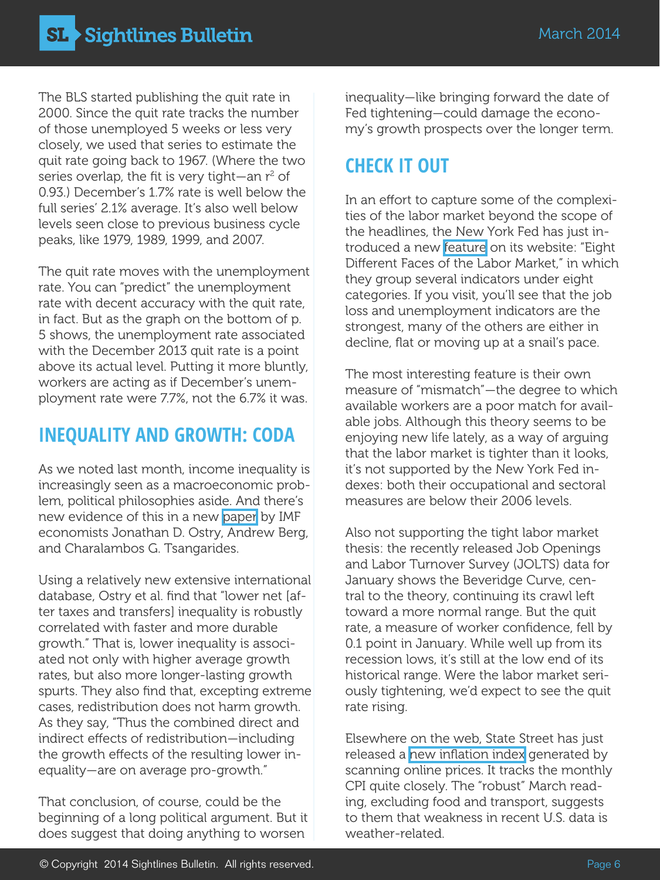The BLS started publishing the quit rate in 2000. Since the quit rate tracks the number of those unemployed 5 weeks or less very closely, we used that series to estimate the quit rate going back to 1967. (Where the two series overlap, the fit is very tight—an  $r^2$  of 0.93.) December's 1.7% rate is well below the full series' 2.1% average. It's also well below levels seen close to previous business cycle peaks, like 1979, 1989, 1999, and 2007.

The quit rate moves with the unemployment rate. You can "predict" the unemployment rate with decent accuracy with the quit rate, in fact. But as the graph on the bottom of p. 5 shows, the unemployment rate associated with the December 2013 quit rate is a point above its actual level. Putting it more bluntly, workers are acting as if December's unemployment rate were 7.7%, not the 6.7% it was.

## **inequality and growth: coda**

As we noted last month, income inequality is increasingly seen as a macroeconomic problem, political philosophies aside. And there's new evidence of this in a new [paper](http://www.imf.org/external/pubs/ft/sdn/2014/sdn1402.pdf) by IMF economists Jonathan D. Ostry, Andrew Berg, and Charalambos G. Tsangarides.

Using a relatively new extensive international database, Ostry et al. find that "lower net [after taxes and transfers] inequality is robustly correlated with faster and more durable growth." That is, lower inequality is associated not only with higher average growth rates, but also more longer-lasting growth spurts. They also find that, excepting extreme cases, redistribution does not harm growth. As they say, "Thus the combined direct and indirect effects of redistribution—including the growth effects of the resulting lower inequality—are on average pro-growth."

That conclusion, of course, could be the beginning of a long political argument. But it does suggest that doing anything to worsen

inequality—like bringing forward the date of Fed tightening—could damage the economy's growth prospects over the longer term.

## **check it out**

In an effort to capture some of the complexities of the labor market beyond the scope of the headlines, the New York Fed has just introduced a new [feature](http://www.newyorkfed.org/labor-conditions/) on its website: "Eight Different Faces of the Labor Market," in which they group several indicators under eight categories. If you visit, you'll see that the job loss and unemployment indicators are the strongest, many of the others are either in decline, flat or moving up at a snail's pace.

The most interesting feature is their own measure of "mismatch"—the degree to which available workers are a poor match for available jobs. Although this theory seems to be enjoying new life lately, as a way of arguing that the labor market is tighter than it looks, it's not supported by the New York Fed indexes: both their occupational and sectoral measures are below their 2006 levels.

Also not supporting the tight labor market thesis: the recently released Job Openings and Labor Turnover Survey (JOLTS) data for January shows the Beveridge Curve, central to the theory, continuing its crawl left toward a more normal range. But the quit rate, a measure of worker confidence, fell by 0.1 point in January. While well up from its recession lows, it's still at the low end of its historical range. Were the labor market seriously tightening, we'd expect to see the quit rate rising.

Elsewhere on the web, State Street has just released a [new inflation index](http://statestreetglobalmarkets.com/research/pricestats/) generated by scanning online prices. It tracks the monthly CPI quite closely. The "robust" March reading, excluding food and transport, suggests to them that weakness in recent U.S. data is weather-related.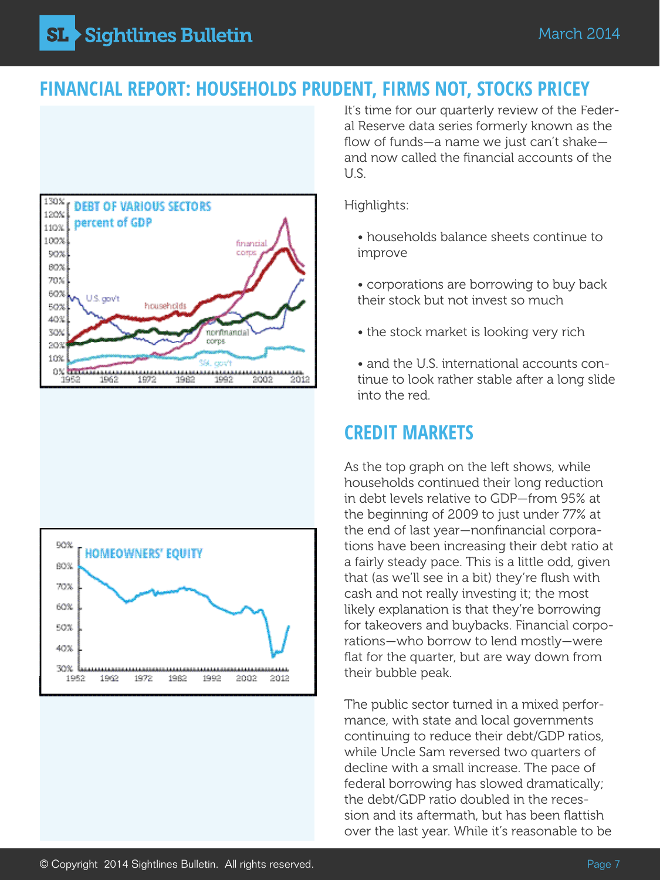**Sightlines Bulletin** SL 3

#### **FINANCIAL REPORT: HOUSEHOLDS PRUDENT, FIRMS NOT, STOCKS PRICEY**





It's time for our quarterly review of the Federal Reserve data series formerly known as the flow of funds—a name we just can't shake and now called the financial accounts of the U.S.

Highlights:

- households balance sheets continue to improve
- corporations are borrowing to buy back their stock but not invest so much
- the stock market is looking very rich
- and the U.S. international accounts continue to look rather stable after a long slide into the red.

## **credit markets**

As the top graph on the left shows, while households continued their long reduction in debt levels relative to GDP—from 95% at the beginning of 2009 to just under 77% at the end of last year—nonfinancial corporations have been increasing their debt ratio at a fairly steady pace. This is a little odd, given that (as we'll see in a bit) they're flush with cash and not really investing it; the most likely explanation is that they're borrowing for takeovers and buybacks. Financial corporations—who borrow to lend mostly—were flat for the quarter, but are way down from their bubble peak.

The public sector turned in a mixed performance, with state and local governments continuing to reduce their debt/GDP ratios, while Uncle Sam reversed two quarters of decline with a small increase. The pace of federal borrowing has slowed dramatically; the debt/GDP ratio doubled in the recession and its aftermath, but has been flattish over the last year. While it's reasonable to be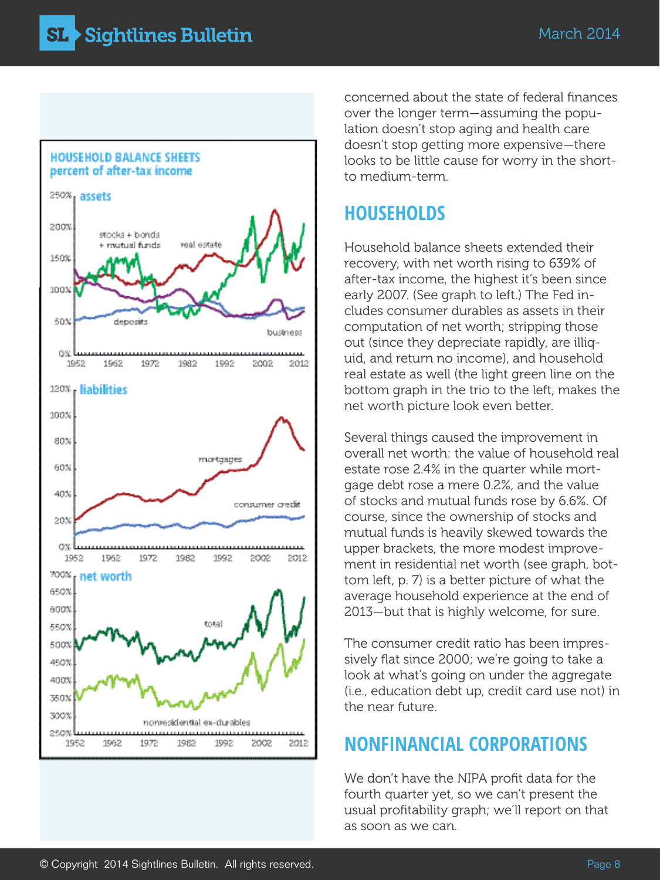

concerned about the state of federal finances over the longer term—assuming the population doesn't stop aging and health care doesn't stop getting more expensive—there looks to be little cause for worry in the shortto medium-term.

### **HOUSEHOLDS**

Household balance sheets extended their recovery, with net worth rising to 639% of after-tax income, the highest it's been since early 2007. (See graph to left.) The Fed includes consumer durables as assets in their computation of net worth; stripping those out (since they depreciate rapidly, are illiquid, and return no income), and household real estate as well (the light green line on the bottom graph in the trio to the left, makes the net worth picture look even better.

Several things caused the improvement in overall net worth: the value of household real estate rose 2.4% in the quarter while mortgage debt rose a mere 0.2%, and the value of stocks and mutual funds rose by 6.6%. Of course, since the ownership of stocks and mutual funds is heavily skewed towards the upper brackets, the more modest improvement in residential net worth (see graph, bottom left, p. 7) is a better picture of what the average household experience at the end of 2013—but that is highly welcome, for sure.

The consumer credit ratio has been impressively flat since 2000; we're going to take a look at what's going on under the aggregate (i.e., education debt up, credit card use not) in the near future.

## **nonfinancial corporations**

We don't have the NIPA profit data for the fourth quarter yet, so we can't present the usual profitability graph; we'll report on that as soon as we can.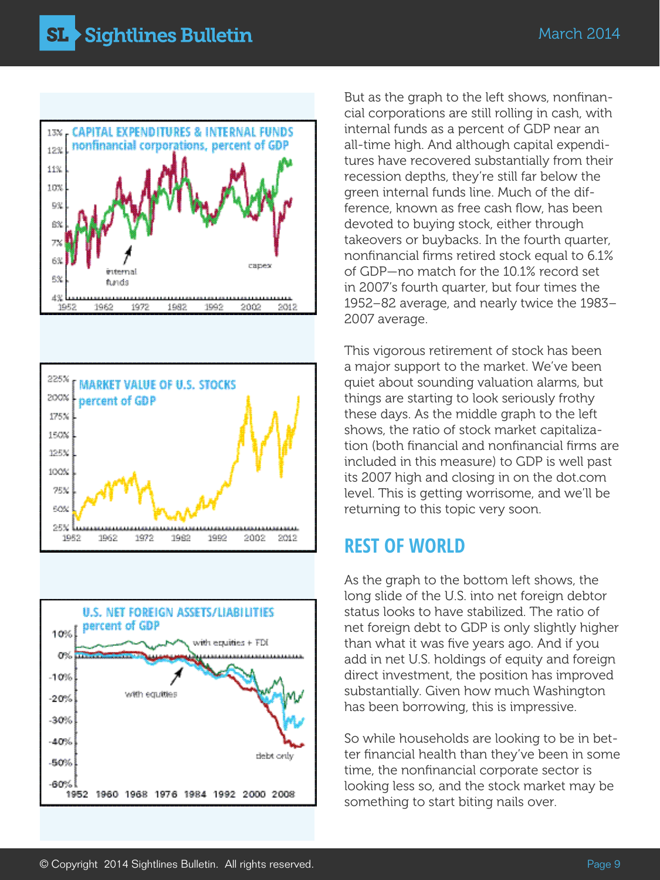





But as the graph to the left shows, nonfinancial corporations are still rolling in cash, with internal funds as a percent of GDP near an all-time high. And although capital expenditures have recovered substantially from their recession depths, they're still far below the green internal funds line. Much of the difference, known as free cash flow, has been devoted to buying stock, either through takeovers or buybacks. In the fourth quarter, nonfinancial firms retired stock equal to 6.1% of GDP—no match for the 10.1% record set in 2007's fourth quarter, but four times the 1952–82 average, and nearly twice the 1983– 2007 average.

This vigorous retirement of stock has been a major support to the market. We've been quiet about sounding valuation alarms, but things are starting to look seriously frothy these days. As the middle graph to the left shows, the ratio of stock market capitalization (both financial and nonfinancial firms are included in this measure) to GDP is well past its 2007 high and closing in on the dot.com level. This is getting worrisome, and we'll be returning to this topic very soon.

#### **rest of world**

As the graph to the bottom left shows, the long slide of the U.S. into net foreign debtor status looks to have stabilized. The ratio of net foreign debt to GDP is only slightly higher than what it was five years ago. And if you add in net U.S. holdings of equity and foreign direct investment, the position has improved substantially. Given how much Washington has been borrowing, this is impressive.

So while households are looking to be in better financial health than they've been in some time, the nonfinancial corporate sector is looking less so, and the stock market may be something to start biting nails over.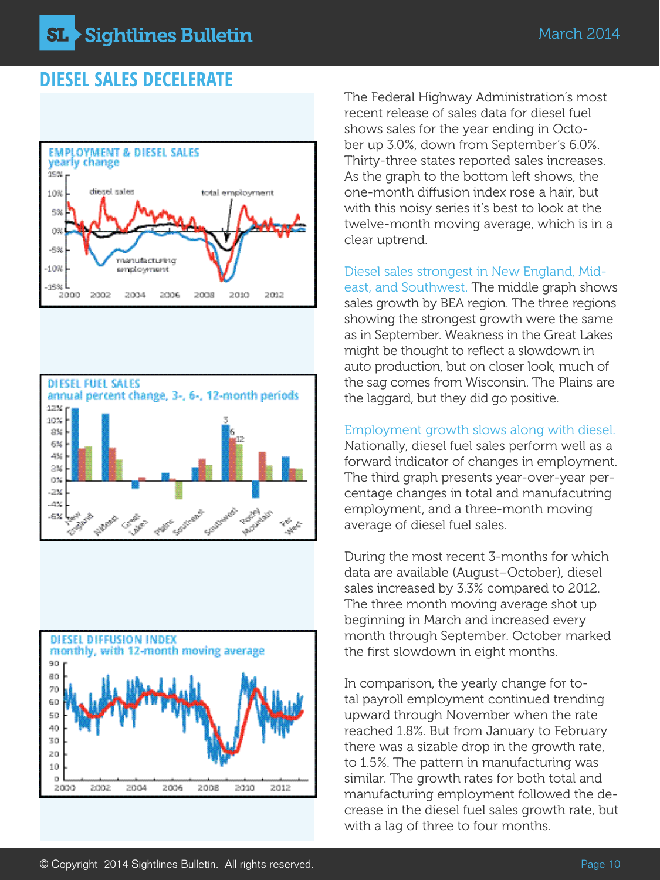### **Diesel Sales DECELERATE**







The Federal Highway Administration's most recent release of sales data for diesel fuel shows sales for the year ending in October up 3.0%, down from September's 6.0%. Thirty-three states reported sales increases. As the graph to the bottom left shows, the one-month diffusion index rose a hair, but with this noisy series it's best to look at the twelve-month moving average, which is in a clear uptrend.

Diesel sales strongest in New England, Mideast, and Southwest. The middle graph shows sales growth by BEA region. The three regions showing the strongest growth were the same as in September. Weakness in the Great Lakes might be thought to reflect a slowdown in auto production, but on closer look, much of the sag comes from Wisconsin. The Plains are the laggard, but they did go positive.

Employment growth slows along with diesel. Nationally, diesel fuel sales perform well as a forward indicator of changes in employment. The third graph presents year-over-year percentage changes in total and manufacutring employment, and a three-month moving average of diesel fuel sales.

During the most recent 3-months for which data are available (August–October), diesel sales increased by 3.3% compared to 2012. The three month moving average shot up beginning in March and increased every month through September. October marked the first slowdown in eight months.

In comparison, the yearly change for total payroll employment continued trending upward through November when the rate reached 1.8%. But from January to February there was a sizable drop in the growth rate, to 1.5%. The pattern in manufacturing was similar. The growth rates for both total and manufacturing employment followed the decrease in the diesel fuel sales growth rate, but with a lag of three to four months.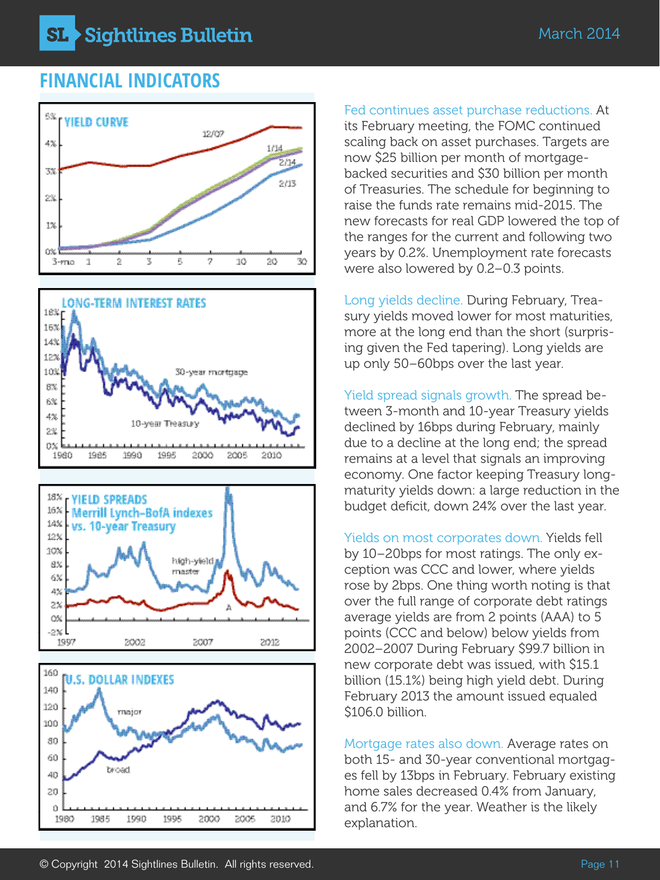**Sightlines Bulletin** SL.

#### **FINANCIAL INDICATORS**



10% high-yield. 8% master 6% 43 23 CX -2% L 1997 2002 2007 2012



Fed continues asset purchase reductions. At

its February meeting, the FOMC continued scaling back on asset purchases. Targets are now \$25 billion per month of mortgagebacked securities and \$30 billion per month of Treasuries. The schedule for beginning to raise the funds rate remains mid-2015. The new forecasts for real GDP lowered the top of the ranges for the current and following two years by 0.2%. Unemployment rate forecasts were also lowered by 0.2–0.3 points.

Long yields decline. During February, Treasury yields moved lower for most maturities, more at the long end than the short (surprising given the Fed tapering). Long yields are up only 50–60bps over the last year.

Yield spread signals growth. The spread between 3-month and 10-year Treasury yields declined by 16bps during February, mainly due to a decline at the long end; the spread remains at a level that signals an improving economy. One factor keeping Treasury longmaturity yields down: a large reduction in the budget deficit, down 24% over the last year.

Yields on most corporates down. Yields fell by 10–20bps for most ratings. The only exception was CCC and lower, where yields rose by 2bps. One thing worth noting is that over the full range of corporate debt ratings average yields are from 2 points (AAA) to 5 points (CCC and below) below yields from 2002–2007 During February \$99.7 billion in new corporate debt was issued, with \$15.1 billion (15.1%) being high yield debt. During February 2013 the amount issued equaled \$106.0 billion.

Mortgage rates also down. Average rates on both 15- and 30-year conventional mortgages fell by 13bps in February. February existing home sales decreased 0.4% from January, and 6.7% for the year. Weather is the likely explanation.